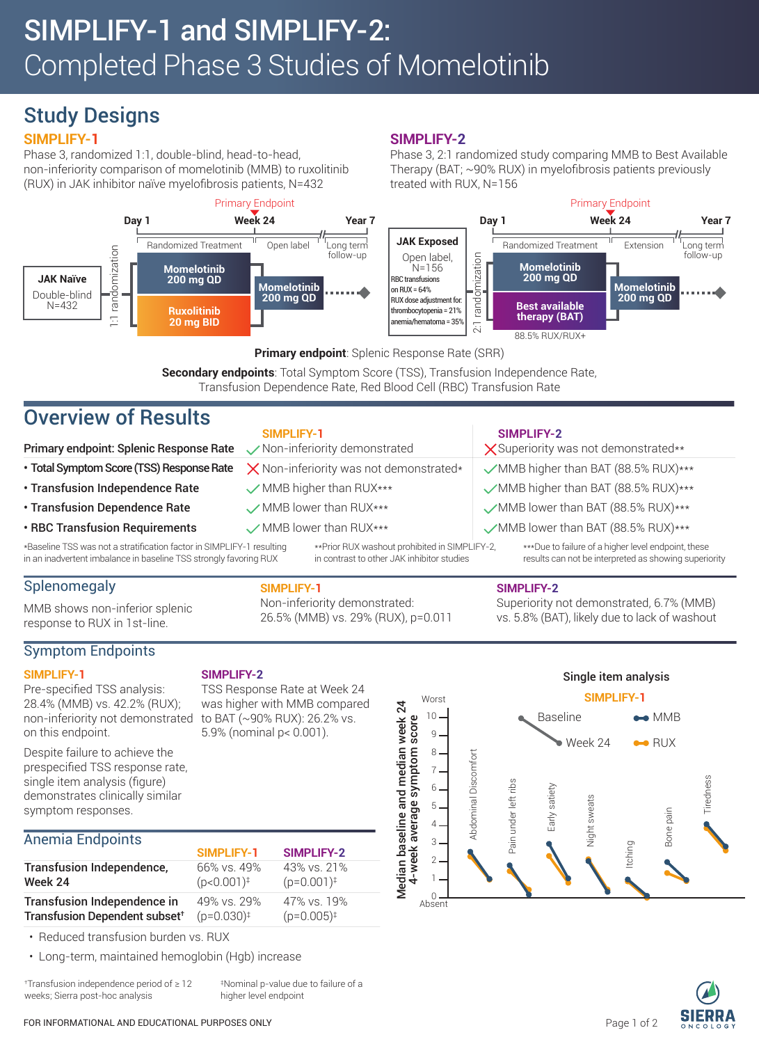# Study Designs

## **SIMPLIFY-1**

Phase 3, randomized 1:1, double-blind, head-to-head, non-inferiority comparison of momelotinib (MMB) to ruxolitinib (RUX) in JAK inhibitor naïve myelofibrosis patients, N=432



### **SIMPLIFY-2**

Phase 3, 2:1 randomized study comparing MMB to Best Available Therapy (BAT; ~90% RUX) in myelofibrosis patients previously treated with RUX, N=156



#### **Primary endpoint**: Splenic Response Rate (SRR)

**Secondary endpoints**: Total Symptom Score (TSS), Transfusion Independence Rate, Transfusion Dependence Rate, Red Blood Cell (RBC) Transfusion Rate

# Overview of Results

|                                                                                                                                            | SIMPLIFY-1                                     |                                                                                              |                                      | <b>SIMPLIFY-2</b>                                                                                            |
|--------------------------------------------------------------------------------------------------------------------------------------------|------------------------------------------------|----------------------------------------------------------------------------------------------|--------------------------------------|--------------------------------------------------------------------------------------------------------------|
| Primary endpoint: Splenic Response Rate                                                                                                    | Non-inferiority demonstrated                   |                                                                                              | X Superiority was not demonstrated** |                                                                                                              |
| · Total Symptom Score (TSS) Response Rate                                                                                                  | $\times$ Non-inferiority was not demonstrated* |                                                                                              | MMB higher than BAT (88.5% RUX)***   |                                                                                                              |
| · Transfusion Independence Rate                                                                                                            | MMB higher than RUX***                         |                                                                                              | MMB higher than BAT (88.5% RUX)***   |                                                                                                              |
| <b>· Transfusion Dependence Rate</b>                                                                                                       | MMB lower than RUX***                          |                                                                                              | MMB lower than BAT (88.5% RUX)***    |                                                                                                              |
| <b>· RBC Transfusion Requirements</b>                                                                                                      | MMB lower than RUX***                          |                                                                                              | MMB lower than BAT (88.5% RUX)***    |                                                                                                              |
| *Baseline TSS was not a stratification factor in SIMPLIFY-1 resulting<br>in an inadvertent imbalance in baseline TSS strongly favoring RUX |                                                | ** Prior RUX washout prohibited in SIMPLIFY-2,<br>in contrast to other JAK inhibitor studies |                                      | ***Due to failure of a higher level endpoint, these<br>results can not be interpreted as showing superiority |
|                                                                                                                                            |                                                |                                                                                              |                                      |                                                                                                              |

## Splenomegaly

MMB shows non-inferior splenic response to RUX in 1st-line.

### Symptom Endpoints

#### **SIMPLIFY-1** Pre-specified TSS analysis:

#### **SIMPLIFY-2**

non-inferiority not demonstrated TSS Response Rate at Week 24 was higher with MMB compared to BAT (~90% RUX): 26.2% vs. 5.9% (nominal p< 0.001).

**SIMPLIFY-1**

Non-inferiority demonstrated: 26.5% (MMB) vs. 29% (RUX), p=0.011

on this endpoint. Despite failure to achieve the prespecified TSS response rate, single item analysis (figure) demonstrates clinically similar symptom responses.

28.4% (MMB) vs. 42.2% (RUX);

### Anemia Endpoints

|                                           | <b>SIMPLIFY-1</b>        | <b>SIMPLIFY-2</b>      |
|-------------------------------------------|--------------------------|------------------------|
| Transfusion Independence,                 | 66% vs. 49%              | 43% vs. 21%            |
| Week 24                                   | $(p<0.001)$ <sup>‡</sup> | $(p=0.001)^{\ddagger}$ |
| Transfusion Independence in               | 49% vs. 29%              | 47% vs. 19%            |
| Transfusion Dependent subset <sup>+</sup> | $(p=0.030)^{\ddagger}$   | $(p=0.005)^{\ddagger}$ |

• Reduced transfusion burden vs. RUX

• Long-term, maintained hemoglobin (Hgb) increase

†Transfusion independence period of ≥ 12 weeks; Sierra post-hoc analysis

‡Nominal p-value due to failure of a higher level endpoint



 $\mathbf{I}$ 

3  $\mathfrak{D}$ 1  $\Omega$  =

Ahsent

**SIMPLIFY-2**

Superiority not demonstrated, 6.7% (MMB) vs. 5.8% (BAT), likely due to lack of washout

Itching

Bone pain

Tiredness